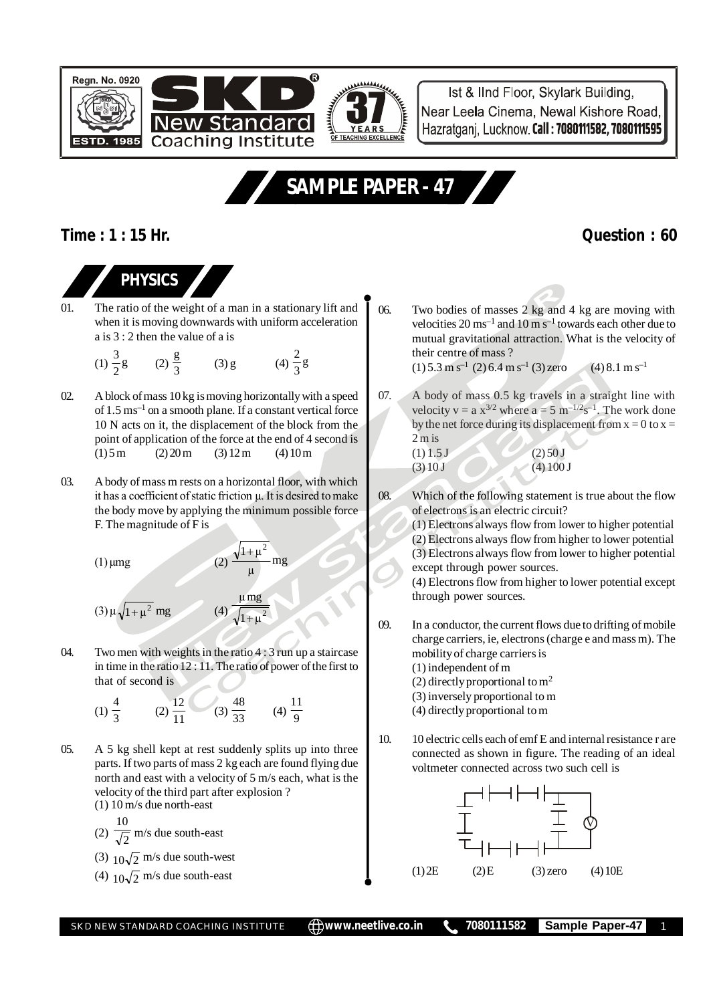



Ist & IInd Floor, Skylark Building, Near Leela Cinema, Newal Kishore Road, Hazratgani, Lucknow, Call: 7080111582, 7080111595

# **SAMPLE PAPER - 47**

### **Time : 1 : 15 Hr. Question : 60**

## **PHYSICS**

- 01. The ratio of the weight of a man in a stationary lift and when it is moving downwards with uniform acceleration a is 3 : 2 then the value of a is
	- $(1)\frac{5}{2}$ g  $\frac{3}{2}$ g (2)  $\frac{g}{3}$  (3) g (4)  $\frac{2}{3}$ g 2
- 02. A block of mass 10 kg is moving horizontally with a speed of 1.5 ms–1 on a smooth plane. If a constant vertical force 10 N acts on it, the displacement of the block from the point of application of the force at the end of 4 second is  $(1) 5 m$   $(2) 20 m$   $(3) 12 m$   $(4) 10 m$
- 03. A body of mass m rests on a horizontal floor, with which it has a coefficient of static friction µ. It is desired to make the body move by applying the minimum possible force F. The magnitude of F is

(1) 
$$
\mu
$$
mg (2)  $\frac{\sqrt{1+\mu^2}}{\mu}$ mg

µmg  $^{+}$ 

$$
(3) \mu \sqrt{1 + \mu^2} \text{ mg} \qquad (4) \frac{\mu \text{ mg}}{\sqrt{1 + \mu^2}}
$$

04. Two men with weights in the ratio 4 : 3 run up a staircase in time in the ratio 12 : 11. The ratio of power of the first to that of second is

(1) 
$$
\frac{4}{3}
$$
 (2)  $\frac{12}{11}$  (3)  $\frac{48}{33}$  (4)  $\frac{11}{9}$ 

- 05. A 5 kg shell kept at rest suddenly splits up into three parts. If two parts of mass 2 kg each are found flying due north and east with a velocity of 5 m/s each, what is the velocity of the third part after explosion ?
	- (1) 10 m/s due north-east

(2)  $\sqrt{2}$ 10 m/s due south-east

- (3)  $10\sqrt{2}$  m/s due south-west
- (4)  $10\sqrt{2}$  m/s due south-east

06. Two bodies of masses 2 kg and 4 kg are moving with velocities  $20 \text{ ms}^{-1}$  and  $10 \text{ m s}^{-1}$  towards each other due to mutual gravitational attraction. What is the velocity of their centre of mass ?

 $(1)$  5.3 m s<sup>-1</sup> (2) 6.4 m s<sup>-1</sup> (3) zero (4) 8.1 m s<sup>-1</sup>

07. A body of mass 0.5 kg travels in a straight line with velocity  $v = a x^{3/2}$  where  $a = 5$  m<sup>-1/2</sup>s<sup>-1</sup>. The work done by the net force during its displacement from  $x = 0$  to  $x =$  $2 \text{ m is}$ 

$$
(1) 1.5 J (2) 50 J (3) 10 J (4) 100 J
$$

08. Which of the following statement is true about the flow of electrons is an electric circuit?

(1) Electrons always flow from lower to higher potential (2) Electrons always flow from higher to lower potential (3) Electrons always flow from lower to higher potential except through power sources.

(4) Electrons flow from higher to lower potential except through power sources.

- 09. In a conductor, the current flows due to drifting of mobile charge carriers, ie, electrons (charge e and mass m). The mobility of charge carriers is
	- (1) independent of m
	- (2) directly proportional to  $m<sup>2</sup>$
	- (3) inversely proportional to m
	- (4) directly proportional to m
- 10. 10 electric cells each of emf E and internal resistance r are connected as shown in figure. The reading of an ideal voltmeter connected across two such cell is

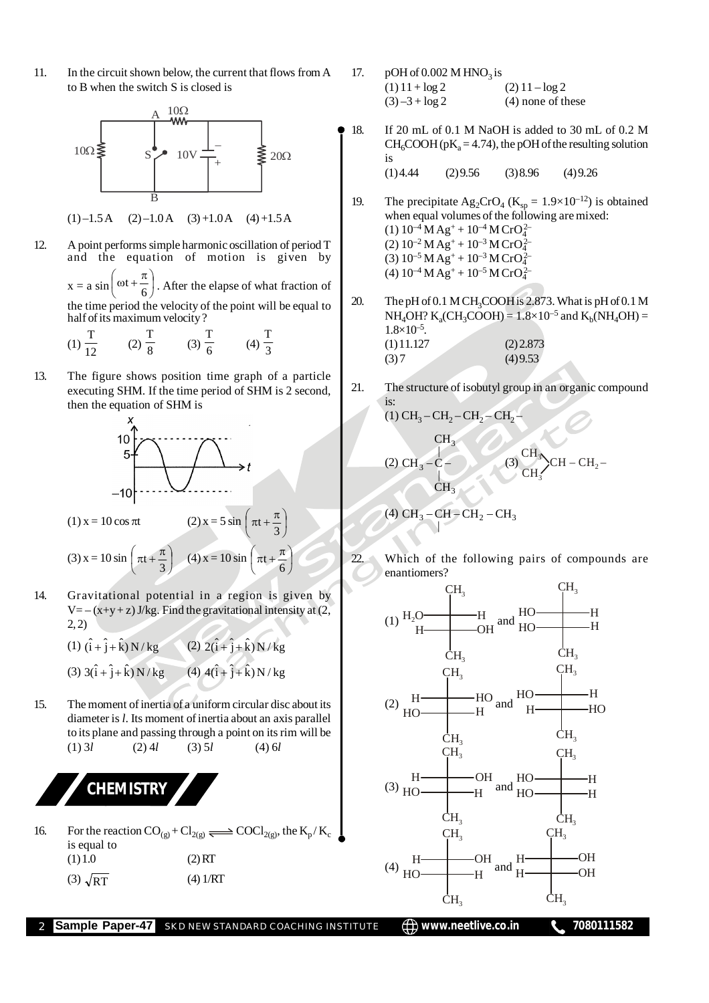11. In the circuit shown below, the current that flows from A to B when the switch S is closed is



 $(1)$  –1.5 A  $(2)$  –1.0 A  $(3)$  +1.0 A  $(4)$  +1.5 A

12. A point performs simple harmonic oscillation of period T and the equation of motion is given by  $x = a \sin \left(\omega t + \frac{\pi}{6}\right)$  $\left(\omega t+\frac{\pi}{\epsilon}\right)$  $\backslash$  $\left(\omega t + \frac{\pi}{6}\right)$ . After the elapse of what fraction of the time period the velocity of the point will be equal to half of its maximum velocity ?

(1) 
$$
\frac{T}{12}
$$
 (2)  $\frac{T}{8}$  (3)  $\frac{T}{6}$  (4)  $\frac{T}{3}$ 

13. The figure shows position time graph of a particle executing SHM. If the time period of SHM is 2 second, then the equation of SHM is



(1)  $x = 10 \cos \pi t$  (2)  $x = 5 \sin$ 

$$
\left(\pi t + \frac{\pi}{3}\right)
$$

 $\big)$  $\mathcal{C}$ 

ļ. l

(3) 
$$
x = 10 \sin \left( \pi t + \frac{\pi}{3} \right)
$$
 (4)  $x = 10 \sin \left( \pi t + \frac{\pi}{6} \right)$ 

14. Gravitational potential in a region is given by  $V = -(x+y+z)$  J/kg. Find the gravitational intensity at (2, 2, 2)

(1) 
$$
(\hat{i} + \hat{j} + \hat{k}) N/kg
$$
  
(2)  $2(\hat{i} + \hat{j} + \hat{k}) N/kg$   
(3)  $3(\hat{i} + \hat{j} + \hat{k}) N/kg$   
(4)  $4(\hat{i} + \hat{j} + \hat{k}) N/kg$ 

15. The moment of inertia of a uniform circular disc about its diameter is *l*. Its moment of inertia about an axis parallel to its plane and passing through a point on its rim will be  $(1) 3l$   $(2) 4l$   $(3) 5l$   $(4) 6l$ 



16. For the reaction  $CO_{(g)} + Cl_{2(g)} \rightleftharpoons COCl_{2(g)}$ , the  $K_p/K_c$ is equal to  $(1) 1.0$  (2) RT (3)  $\sqrt{RT}$  (4) 1/RT

- 17. pOH of  $0.002 \text{ M HNO}_3$  is  $(1) 11 + \log 2$  (2)  $11 - \log 2$  $(3) -3 + \log 2$  (4) none of these
- 18. If 20 mL of 0.1 M NaOH is added to 30 mL of 0.2 M  $CH_6COOH (pK<sub>a</sub> = 4.74)$ , the pOH of the resulting solution is  $(1)$  4.44  $(2)$  9.56  $(3)$  8.96  $(4)$  9.26
- 19. The precipitate  $\text{Ag}_2\text{CrO}_4$  (K<sub>sp</sub> = 1.9×10<sup>-12</sup>) is obtained when equal volumes of the following are mixed: (1)  $10^{-4}$  M Ag<sup>+</sup> +  $10^{-4}$  M CrO<sub>4</sub><sup>2</sup> (2)  $10^{-2}$  M Ag<sup>+</sup> +  $10^{-3}$  M CrO<sub>4</sub><sup>2</sup> (3)  $10^{-5}$  M Ag<sup>+</sup> +  $10^{-3}$  M CrO<sub>4</sub><sup>2</sup> (4)  $10^{-4}$  M Ag<sup>+</sup> +  $10^{-5}$  M CrO<sub>4</sub><sup>2</sup>
- 20. The pH of 0.1 M CH<sub>3</sub>COOH is 2.873. What is pH of 0.1 M  $NH_4OH? K_a(CH_3COOH) = 1.8 \times 10^{-5}$  and  $K_b(NH_4OH) =$  $1.8 \times 10^{-5}$ .  $(1) 11.127$   $(2) 2.873$  $(3) 7$  (4) 9.53
- 21. The structure of isobutyl group in an organic compound is:

(1) CH<sup>3</sup> – CH<sup>2</sup> – CH<sup>2</sup> – CH<sup>2</sup> – (2) 3 3 3 CH | CH C | CH (3) CH<sup>3</sup> CH<sup>3</sup> CH – CH –<sup>2</sup>

(4) 
$$
CH_3 - CH - CH_2 - CH_3
$$

22. Which of the following pairs of compounds are enantiomers?



**Sample Paper-47** SKD NEW STANDARD COACHING INSTITUTE  $\bigoplus$  www.neetlive.co.in 1080111582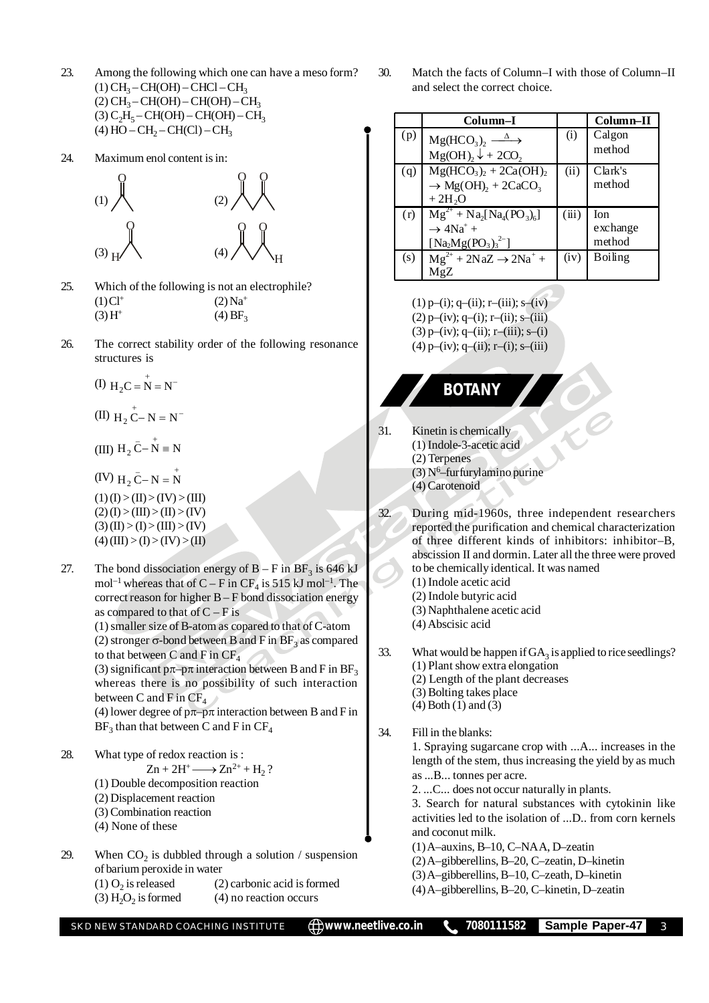- 23. Among the following which one can have a meso form?  $(1)$  CH<sub>3</sub> – CH(OH) – CHCl – CH<sub>3</sub>  $(2)$  CH<sub>3</sub> – CH(OH) – CH(OH) – CH<sub>3</sub>  $(3) C<sub>2</sub>H<sub>5</sub> - CH(OH) - CH(OH) - CH<sub>3</sub>$ (4)  $HO - CH_2 - CH(Cl) - CH_3$
- 24. Maximum enol content is in:



- 25. Which of the following is not an electrophile?  $(1)$  Cl<sup>+</sup>  $(2)$  Na<sup>+</sup>  $(3) H^{+}$  $(4)$  BF<sub>3</sub>
- 26. The correct stability order of the following resonance structures is

$$
(I) H_2C = N = N^-
$$

(II) 
$$
H_2 \overset{+}{C} - N = N^-
$$

(III)  $H_2 \bar{C} - N = N$ 

- (IV)  $H_2 \bar{C} N = N$  $(1)$  (I) > (II) > (IV) > (III)  $(2)$  (I) > (III) > (II) > (IV)  $(3)$  (II) > (I) > (III) > (IV)  $(4)$  (III) > (I) > (IV) > (II)
- 27. The bond dissociation energy of  $B F$  in  $BF_3$  is 646 kJ mol<sup>-1</sup> whereas that of C – F in CF<sub>4</sub> is 515 kJ mol<sup>-1</sup>. The correct reason for higher B – F bond dissociation energy as compared to that of  $C - F$  is

(1) smaller size of B-atom as copared to that of C-atom (2) stronger  $\sigma$ -bond between B and F in BF<sub>3</sub> as compared to that between C and F in  $CF_4$ 

(3) significant  $p\pi$ – $p\pi$  interaction between B and F in BF<sub>3</sub> whereas there is no possibility of such interaction between C and F in  $CF<sub>4</sub>$ 

(4) lower degree of  $p\pi$ – $p\pi$  interaction between B and F in  $BF_3$  than that between C and F in  $CF_4$ 

- 28. What type of redox reaction is :
	- $\text{Zn} + 2\text{H}^+ \longrightarrow \text{Zn}^{2+} + \text{H}_2$ ?
	- (1) Double decomposition reaction
	- (2) Displacement reaction
	- (3) Combination reaction
	- (4) None of these
- 29. When  $CO_2$  is dubbled through a solution / suspension of barium peroxide in water (1)  $O_2$  is released  $(2)$  carbonic acid is formed
	- $(3)$  H<sub>2</sub>O<sub>2</sub> is formed  $(4)$  no reaction occurs

30. Match the facts of Column–I with those of Column–II and select the correct choice.

|     | Column-I                                               |       | Column-II      |
|-----|--------------------------------------------------------|-------|----------------|
| (p) | $Mg(HCO3)2 \xrightarrow{\Delta}$                       | (i)   | Calgon         |
|     | $Mg(OH)$ , $\downarrow$ + 2CO <sub>2</sub>             |       | method         |
| (q) | $Mg(HCO3)2 + 2Ca(OH)2$                                 | (ii)  | Clark's        |
|     | $\rightarrow$ Mg(OH) <sub>2</sub> + 2CaCO <sub>3</sub> |       | method         |
|     | $+2H2O$                                                |       |                |
| (r) | $\overline{Mg^{2+} + Na_2[Na_4(PO_3)_6]}$              | (iii) | Ion            |
|     | $\rightarrow$ 4Na <sup>+</sup> +                       |       | exchange       |
|     | $[Na_2Mg(PO_3)_3^{2-}]$                                |       | method         |
| (s) | $Mg^{2+}$ + 2NaZ $\rightarrow$ 2Na <sup>+</sup> +      | (iv)  | <b>Boiling</b> |
|     | MgZ                                                    |       |                |

 $(1)$  p–(i); q–(ii); r–(iii); s–(iv)  $(2)$  p–(iv); q–(i); r–(ii); s–(iii)

 $(3)$  p–(iv); q–(ii); r–(iii); s–(i)

 $(4)$  p–(iv); q–(ii); r–(i); s–(iii)

## **BOTANY**

- 31. Kinetin is chemically (1) Indole-3-acetic acid (2) Terpenes  $(3)$  N<sup>6</sup>–furfurylamino purine
	- (4) Carotenoid
- 32. During mid-1960s, three independent researchers reported the purification and chemical characterization of three different kinds of inhibitors: inhibitor–B, abscission II and dormin. Later all the three were proved to be chemically identical. It was named
	- (1) Indole acetic acid
	- (2) Indole butyric acid
	- (3) Naphthalene acetic acid
	- (4) Abscisic acid
- 33. What would be happen if  $GA_3$  is applied to rice seedlings? (1) Plant show extra elongation
	- (2) Length of the plant decreases
	- (3) Bolting takes place
	- (4) Both (1) and (3)

34. Fill in the blanks:

1. Spraying sugarcane crop with ...A... increases in the length of the stem, thus increasing the yield by as much as ...B... tonnes per acre.

2. ...C... does not occur naturally in plants.

3. Search for natural substances with cytokinin like activities led to the isolation of ...D.. from corn kernels and coconut milk.

- (1) A–auxins, B–10, C–NA A, D–zeatin
- (2) A–gibberellins, B–20, C–zeatin, D–kinetin
- (3) A–gibberellins, B–10, C–zeath, D–kinetin
- (4) A–gibberellins, B–20, C–kinetin, D–zeatin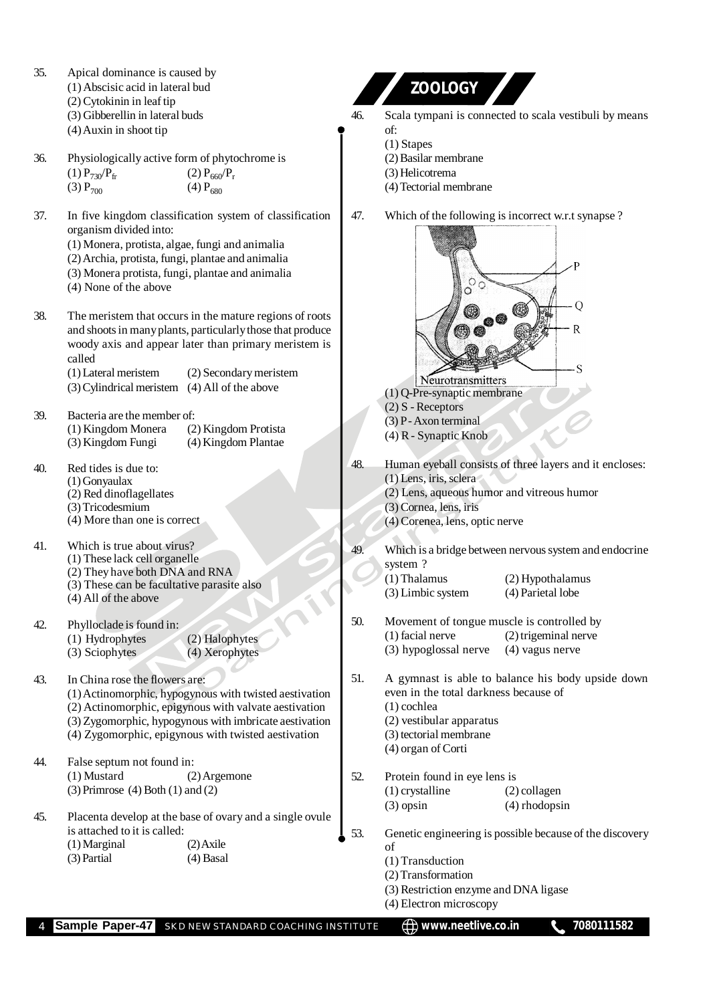35. Apical dominance is caused by **ZOOLOGY** (1) Abscisic acid in lateral bud (2) Cytokinin in leaf tip (3) Gibberellin in lateral buds 46. Scala tympani is connected to scala vestibuli by means (4) Auxin in shoot tip of: (1) Stapes 36. Physiologically active form of phytochrome is (2) Basilar membrane (1)  $P_{730}/P_{fr}$  (2)  $P_{660}/P_r$ <br>(3)  $P_{700}$  (4)  $P_{680}$ (3) Helicotrema  $(3)$  P<sub>700</sub> (4) Tectorial membrane 37. In five kingdom classification system of classification 47. Which of the following is incorrect w.r.t synapse ? organism divided into: (1) Monera, protista, algae, fungi and animalia (2) Archia, protista, fungi, plantae and animalia (3) Monera protista, fungi, plantae and animalia (4) None of the above O 38. The meristem that occurs in the mature regions of roots  $\mathsf{R}$ and shoots in many plants, particularly those that produce woody axis and appear later than primary meristem is called  $\mathbf S$ (1) Lateral meristem (2) Secondary meristem Neurotransmitters (3) Cylindrical meristem (4) All of the above (1) Q-Pre-synaptic membrane (2) S - Receptors 39. Bacteria are the member of:<br>(1) Kingdom Monera (2) Kingdom Protista  $(3)$  P - Axon terminal (1) Kingdom Monera<br>(3) Kingdom Fungi (4) R - Synaptic Knob (4) Kingdom Plantae 48. Human eyeball consists of three layers and it encloses: 40. Red tides is due to: (1) Lens, iris, sclera (1) Gonyaulax (2) Lens, aqueous humor and vitreous humor (2) Red dinoflagellates (3) Cornea, lens, iris (3) Tricodesmium (4) More than one is correct (4) Corenea, lens, optic nerve 41. Which is true about virus? 49. Which is a bridge between nervous system and endocrine (1) These lack cell organelle system ? (2) They have both DNA and RNA (1) Thalamus (2) Hypothalamus (3) These can be facultative parasite also (3) Limbic system (4) Parietal lobe (4) All of the above 50. Movement of tongue muscle is controlled by 42. Phylloclade is found in: (1) facial nerve (2) trigeminal nerve (1) Hydrophytes (2) Halophytes<br>
(3) Sciophytes (4) Xerophytes (3) hypoglossal nerve (4) vagus nerve (3) Sciophytes (4) Xerophytes 51. A gymnast is able to balance his body upside down 43. In China rose the flowers are: even in the total darkness because of (1) Actinomorphic, hypogynous with twisted aestivation (1) cochlea (2) Actinomorphic, epigynous with valvate aestivation (3) Zygomorphic, hypogynous with imbricate aestivation (2) vestibular apparatus (4) Zygomorphic, epigynous with twisted aestivation (3) tectorial membrane (4) organ of Corti 44. False septum not found in:<br>(1) Mustard (2)  $(2)$  Argemone 52. Protein found in eye lens is (3) Primrose (4) Both (1) and (2) (1) crystalline (2) collagen (3) opsin (4) rhodopsin 45. Placenta develop at the base of ovary and a single ovule is attached to it is called: 53. Genetic engineering is possible because of the discovery (1) Marginal (2) Axile of (3) Partial (4) Basal (1) Transduction (2) Transformation (3) Restriction enzyme and DNA ligase (4) Electron microscopy

**Sample Paper-47** SKD NEW STANDARD COACHING INSTITUTE  $\bigoplus$  www.neetlive.co.in **1** 7080111582